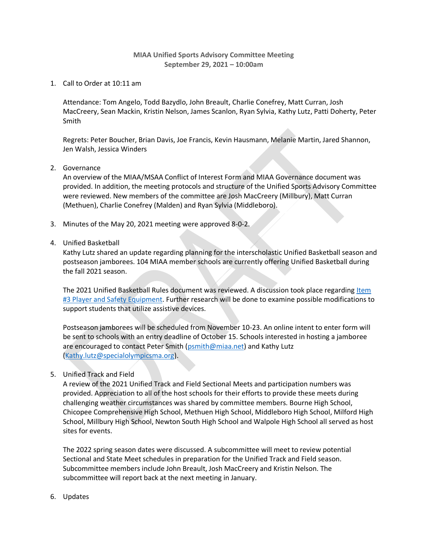## **MIAA Unified Sports Advisory Committee Meeting September 29, 2021 – 10:00am**

1. Call to Order at 10:11 am

Attendance: Tom Angelo, Todd Bazydlo, John Breault, Charlie Conefrey, Matt Curran, Josh MacCreery, Sean Mackin, Kristin Nelson, James Scanlon, Ryan Sylvia, Kathy Lutz, Patti Doherty, Peter Smith

Regrets: Peter Boucher, Brian Davis, Joe Francis, Kevin Hausmann, Melanie Martin, Jared Shannon, Jen Walsh, Jessica Winders

2. Governance

An overview of the MIAA/MSAA Conflict of Interest Form and MIAA Governance document was provided. In addition, the meeting protocols and structure of the Unified Sports Advisory Committee were reviewed. New members of the committee are Josh MacCreery (Millbury), Matt Curran (Methuen), Charlie Conefrey (Malden) and Ryan Sylvia (Middleboro).

- 3. Minutes of the May 20, 2021 meeting were approved 8-0-2.
- 4. Unified Basketball

Kathy Lutz shared an update regarding planning for the interscholastic Unified Basketball season and postseason jamborees. 104 MIAA member schools are currently offering Unified Basketball during the fall 2021 season.

The 2021 Unified Basketball Rules document was reviewed. A discussion took place regarding Item [#3 Player and Safety Equipment.](http://miaa.net/gen/miaa_generated_bin/documents/basic_module/Unified_Basketball_Format_2021.pdf) Further research will be done to examine possible modifications to support students that utilize assistive devices.

Postseason jamborees will be scheduled from November 10-23. An online intent to enter form will be sent to schools with an entry deadline of October 15. Schools interested in hosting a jamboree are encouraged to contact Peter Smith [\(psmith@miaa.net\)](mailto:psmith@miaa.net) and Kathy Lutz [\(Kathy.lutz@specialolympicsma.org\)](mailto:Kathy.lutz@specialolympicsma.org).

5. Unified Track and Field

A review of the 2021 Unified Track and Field Sectional Meets and participation numbers was provided. Appreciation to all of the host schools for their efforts to provide these meets during challenging weather circumstances was shared by committee members. Bourne High School, Chicopee Comprehensive High School, Methuen High School, Middleboro High School, Milford High School, Millbury High School, Newton South High School and Walpole High School all served as host sites for events.

The 2022 spring season dates were discussed. A subcommittee will meet to review potential Sectional and State Meet schedules in preparation for the Unified Track and Field season. Subcommittee members include John Breault, Josh MacCreery and Kristin Nelson. The subcommittee will report back at the next meeting in January.

6. Updates